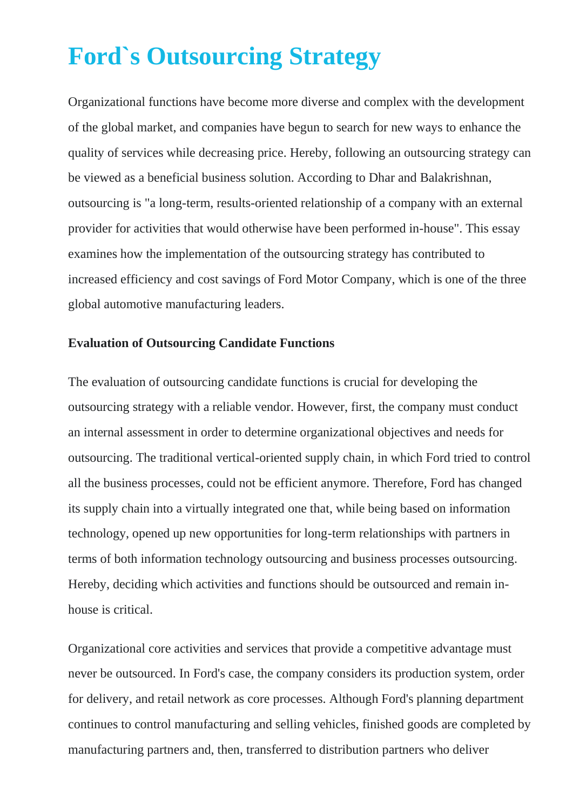# **Ford`s Outsourcing Strategy**

Organizational functions have become more diverse and complex with the development of the global market, and companies have begun to search for new ways to enhance the quality of services while decreasing price. Hereby, following an outsourcing strategy can be viewed as a beneficial business solution. According to Dhar and Balakrishnan, outsourcing is "a long-term, results-oriented relationship of a company with an external provider for activities that would otherwise have been performed in-house". This essay examines how the implementation of the outsourcing strategy has contributed to increased efficiency and cost savings of Ford Motor Company, which is one of the three global automotive manufacturing leaders.

### **Evaluation of Outsourcing Candidate Functions**

The evaluation of outsourcing candidate functions is crucial for developing the outsourcing strategy with a reliable vendor. However, first, the company must conduct an internal assessment in order to determine organizational objectives and needs for outsourcing. The traditional vertical-oriented supply chain, in which Ford tried to control all the business processes, could not be efficient anymore. Therefore, Ford has changed its supply chain into a virtually integrated one that, while being based on information technology, opened up new opportunities for long-term relationships with partners in terms of both information technology outsourcing and business processes outsourcing. Hereby, deciding which activities and functions should be outsourced and remain inhouse is critical.

Organizational core activities and services that provide a competitive advantage must never be outsourced. In Ford's case, the company considers its production system, order for delivery, and retail network as core processes. Although Ford's planning department continues to control manufacturing and selling vehicles, finished goods are completed by manufacturing partners and, then, transferred to distribution partners who deliver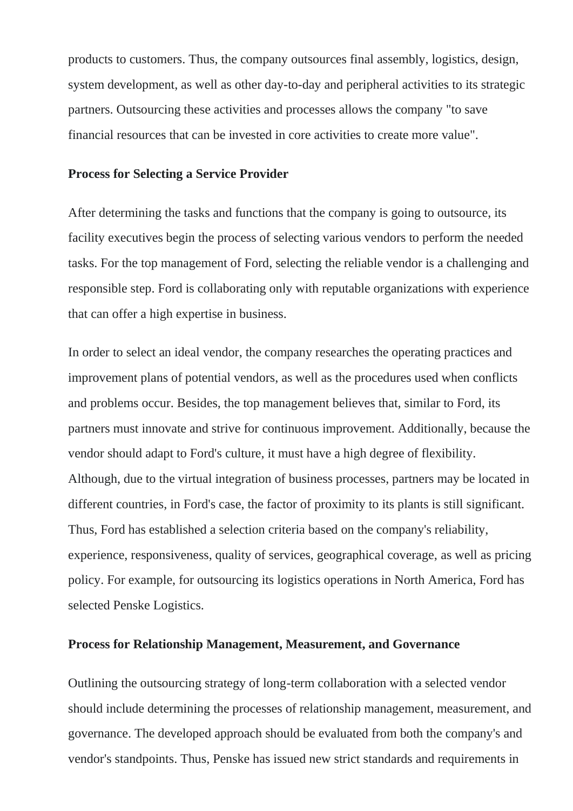products to customers. Thus, the company outsources final assembly, logistics, design, system development, as well as other day-to-day and peripheral activities to its strategic partners. Outsourcing these activities and processes allows the company "to save financial resources that can be invested in core activities to create more value".

#### **Process for Selecting a Service Provider**

After determining the tasks and functions that the company is going to outsource, its facility executives begin the process of selecting various vendors to perform the needed tasks. For the top management of Ford, selecting the reliable vendor is a challenging and responsible step. Ford is collaborating only with reputable organizations with experience that can offer a high expertise in business.

In order to select an ideal vendor, the company researches the operating practices and improvement plans of potential vendors, as well as the procedures used when conflicts and problems occur. Besides, the top management believes that, similar to Ford, its partners must innovate and strive for continuous improvement. Additionally, because the vendor should adapt to Ford's culture, it must have a high degree of flexibility. Although, due to the virtual integration of business processes, partners may be located in different countries, in Ford's case, the factor of proximity to its plants is still significant. Thus, Ford has established a selection criteria based on the company's reliability, experience, responsiveness, quality of services, geographical coverage, as well as pricing policy. For example, for outsourcing its logistics operations in North America, Ford has selected Penske Logistics.

#### **Process for Relationship Management, Measurement, and Governance**

Outlining the outsourcing strategy of long-term collaboration with a selected vendor should include determining the processes of relationship management, measurement, and governance. The developed approach should be evaluated from both the company's and vendor's standpoints. Thus, Penske has issued new strict standards and requirements in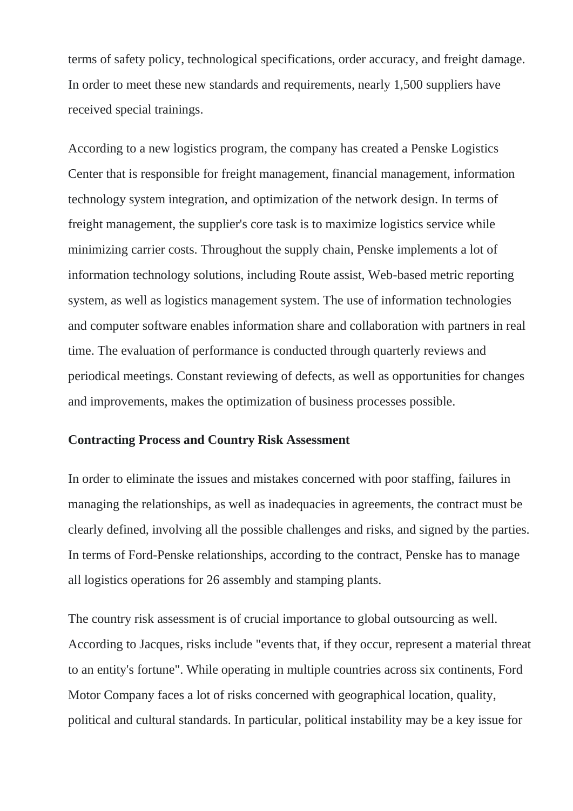terms of safety policy, technological specifications, order accuracy, and freight damage. In order to meet these new standards and requirements, nearly 1,500 suppliers have received special trainings.

According to a new logistics program, the company has created a Penske Logistics Center that is responsible for freight management, financial management, information technology system integration, and optimization of the network design. In terms of freight management, the supplier's core task is to maximize logistics service while minimizing carrier costs. Throughout the supply chain, Penske implements a lot of information technology solutions, including Route assist, Web-based metric reporting system, as well as logistics management system. The use of information technologies and computer software enables information share and collaboration with partners in real time. The evaluation of performance is conducted through quarterly reviews and periodical meetings. Constant reviewing of defects, as well as opportunities for changes and improvements, makes the optimization of business processes possible.

#### **Contracting Process and Country Risk Assessment**

In order to eliminate the issues and mistakes concerned with poor staffing, failures in managing the relationships, as well as inadequacies in agreements, the contract must be clearly defined, involving all the possible challenges and risks, and signed by the parties. In terms of Ford-Penske relationships, according to the contract, Penske has to manage all logistics operations for 26 assembly and stamping plants.

The country risk assessment is of crucial importance to global outsourcing as well. According to Jacques, risks include "events that, if they occur, represent a material threat to an entity's fortune". While operating in multiple countries across six continents, Ford Motor Company faces a lot of risks concerned with geographical location, quality, political and cultural standards. In particular, political instability may be a key issue for